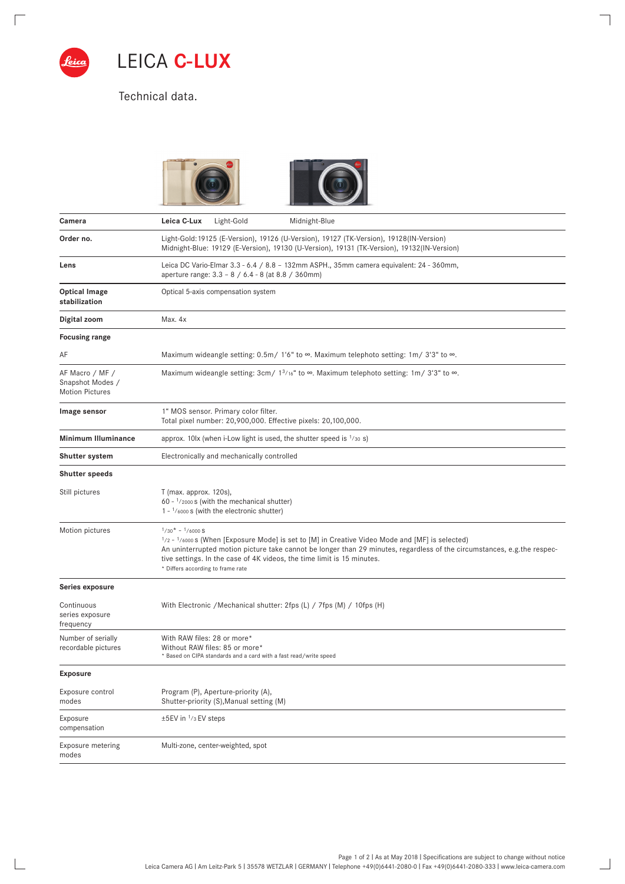

 $\Box$ 

 $\boxed{\phantom{1}}$ 

LEICA **C-LUX** 

Technical data.





 $\overline{\phantom{0}}$ 

 $\overline{\phantom{0}}$ 

| Camera                                                        | Leica C-Lux<br>Light-Gold<br>Midnight-Blue                                                                                                                                                                                                                                                                                                                                          |
|---------------------------------------------------------------|-------------------------------------------------------------------------------------------------------------------------------------------------------------------------------------------------------------------------------------------------------------------------------------------------------------------------------------------------------------------------------------|
| Order no.                                                     | Light-Gold: 19125 (E-Version), 19126 (U-Version), 19127 (TK-Version), 19128(IN-Version)<br>Midnight-Blue: 19129 (E-Version), 19130 (U-Version), 19131 (TK-Version), 19132(IN-Version)                                                                                                                                                                                               |
| Lens                                                          | Leica DC Vario-Elmar 3.3 - 6.4 / 8.8 - 132mm ASPH., 35mm camera equivalent: 24 - 360mm,<br>aperture range: 3.3 - 8 / 6.4 - 8 (at 8.8 / 360mm)                                                                                                                                                                                                                                       |
| <b>Optical Image</b><br>stabilization                         | Optical 5-axis compensation system                                                                                                                                                                                                                                                                                                                                                  |
| Digital zoom                                                  | Max. 4x                                                                                                                                                                                                                                                                                                                                                                             |
| <b>Focusing range</b>                                         |                                                                                                                                                                                                                                                                                                                                                                                     |
| AF                                                            | Maximum wideangle setting: $0.5m/1'6''$ to $\infty$ . Maximum telephoto setting: 1m/3'3" to $\infty$ .                                                                                                                                                                                                                                                                              |
| AF Macro / MF /<br>Snapshot Modes /<br><b>Motion Pictures</b> | Maximum wideangle setting: 3cm/ $1^{3/16}$ to $\infty$ . Maximum telephoto setting: 1m/ 3'3" to $\infty$ .                                                                                                                                                                                                                                                                          |
| Image sensor                                                  | 1" MOS sensor. Primary color filter.<br>Total pixel number: 20,900,000. Effective pixels: 20,100,000.                                                                                                                                                                                                                                                                               |
| Minimum Illuminance                                           | approx. 10lx (when i-Low light is used, the shutter speed is $1/30$ s)                                                                                                                                                                                                                                                                                                              |
| Shutter system                                                | Electronically and mechanically controlled                                                                                                                                                                                                                                                                                                                                          |
| <b>Shutter speeds</b>                                         |                                                                                                                                                                                                                                                                                                                                                                                     |
| Still pictures                                                | T (max. approx. 120s),<br>60 - 1/2000 s (with the mechanical shutter)<br>$1 - \frac{1}{6000}$ s (with the electronic shutter)                                                                                                                                                                                                                                                       |
| Motion pictures                                               | $1/30* - 1/6000 S$<br>$\frac{1}{2}$ - $\frac{1}{6000}$ s (When [Exposure Mode] is set to [M] in Creative Video Mode and [MF] is selected)<br>An uninterrupted motion picture take cannot be longer than 29 minutes, regardless of the circumstances, e.g.the respec-<br>tive settings. In the case of 4K videos, the time limit is 15 minutes.<br>* Differs according to frame rate |
| Series exposure                                               |                                                                                                                                                                                                                                                                                                                                                                                     |
| Continuous<br>series exposure<br>frequency                    | With Electronic / Mechanical shutter: 2fps (L) / 7fps (M) / 10fps (H)                                                                                                                                                                                                                                                                                                               |
| Number of serially<br>recordable pictures                     | With RAW files: 28 or more*<br>Without RAW files: 85 or more*<br>* Based on CIPA standards and a card with a fast read/write speed                                                                                                                                                                                                                                                  |
| <b>Exposure</b>                                               |                                                                                                                                                                                                                                                                                                                                                                                     |
| Exposure control<br>modes                                     | Program (P), Aperture-priority (A),<br>Shutter-priority (S), Manual setting (M)                                                                                                                                                                                                                                                                                                     |
| Exposure<br>compensation                                      | ±5EV in 1/3 EV steps                                                                                                                                                                                                                                                                                                                                                                |
| Exposure metering<br>modes                                    | Multi-zone, center-weighted, spot                                                                                                                                                                                                                                                                                                                                                   |